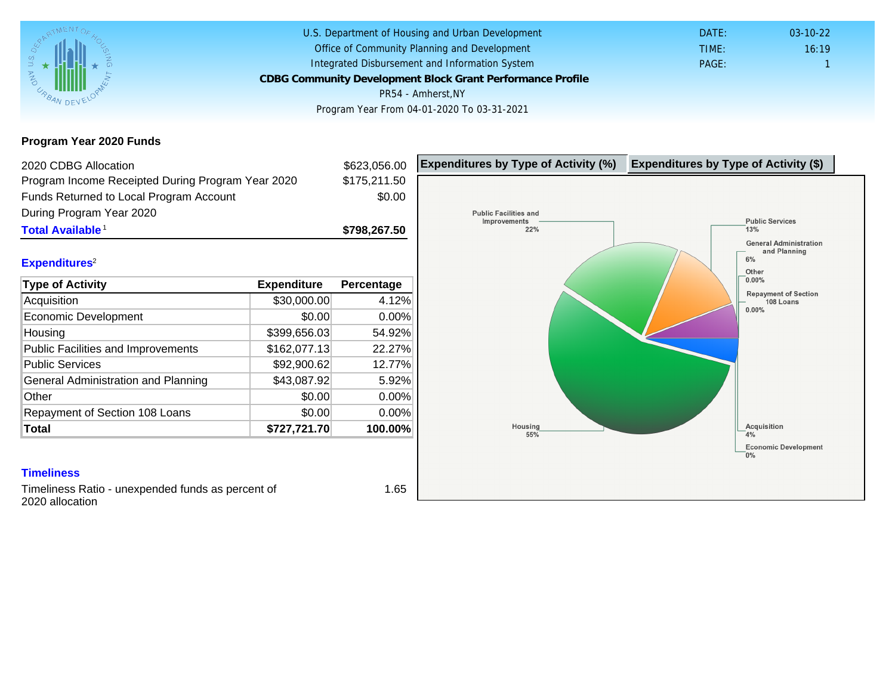### Program Year 2020 Funds

| 2020 CDBG Allocation                              |              | \$623,056.00 | Expenditures by Type of Activity (%) | Expenditure |
|---------------------------------------------------|--------------|--------------|--------------------------------------|-------------|
| Program Income Receipted During Program Year 2020 |              | \$175,211.50 |                                      |             |
| Funds Returned to Local Program Account           |              | \$0.00       |                                      |             |
| During Program Year 2020                          |              |              |                                      |             |
| Total Available <sup>1</sup>                      |              | \$798,267.50 |                                      |             |
| Expenditures <sup>2</sup>                         |              |              |                                      |             |
| Type of Activity                                  | Expenditure  | Percentage   |                                      |             |
| Acquisition                                       | \$30,000.00  | 4.12%        |                                      |             |
| <b>Economic Development</b>                       | \$0.00       | 0.00%        |                                      |             |
| Housing                                           | \$399,656.03 | 54.92%       |                                      |             |
| <b>Public Facilities and Improvements</b>         | \$162,077.13 | 22.27%       |                                      |             |
| <b>Public Services</b>                            | \$92,900.62  | 12.77%       |                                      |             |
| General Administration and Planning               | \$43,087.92  | 5.92%        |                                      |             |
| Other                                             | \$0.00       | 0.00%        |                                      |             |
| Repayment of Section 108 Loans                    | \$0.00       | 0.00%        |                                      |             |
| Total                                             | \$727,721.70 | 100.00%      |                                      |             |

### **Timeliness**

Timeliness Ratio - unexpended funds as percent of 2020 allocation

1.65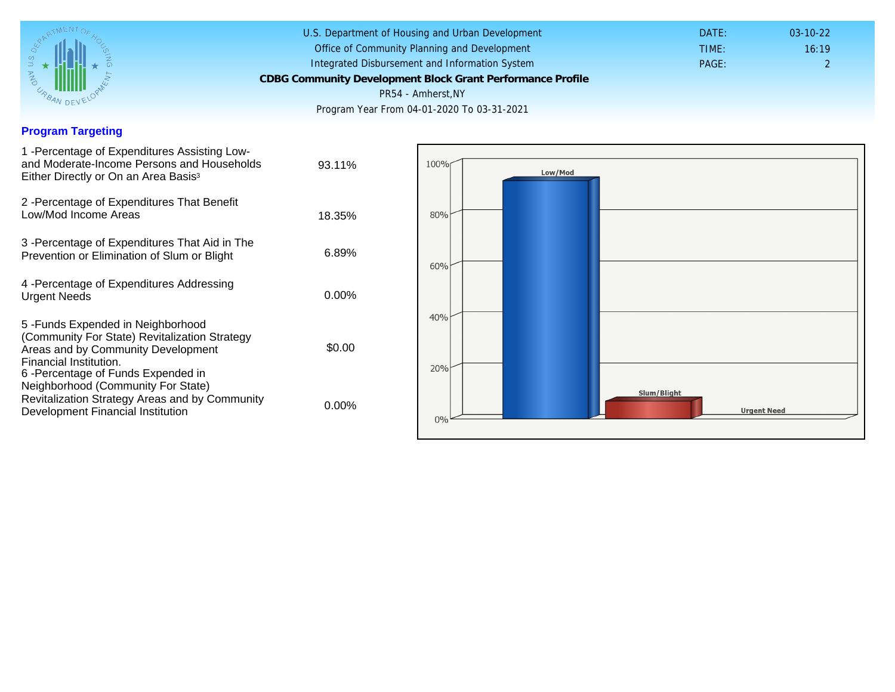### Program Targeting

| 1 - Percentage of Expenditures Assisting Low-<br>and Moderate-Income Persons and Households<br>Either Directly or On an Area Basis <sup>3</sup>                                                                                | 93.11%   |
|--------------------------------------------------------------------------------------------------------------------------------------------------------------------------------------------------------------------------------|----------|
| 2 - Percentage of Expenditures That Benefit<br>Low/Mod Income Areas                                                                                                                                                            | 18.35%   |
| 3 -Percentage of Expenditures That Aid in The<br>Prevention or Elimination of Slum or Blight                                                                                                                                   | 6.89%    |
| 4 - Percentage of Expenditures Addressing<br><b>Urgent Needs</b>                                                                                                                                                               | $0.00\%$ |
| 5 - Funds Expended in Neighborhood<br>(Community For State) Revitalization Strategy<br>Areas and by Community Development<br>Financial Institution.<br>6-Percentage of Funds Expended in<br>Neighborhood (Community For State) | \$0.00   |
| Revitalization Strategy Areas and by Community<br>Development Financial Institution                                                                                                                                            | 0.00%    |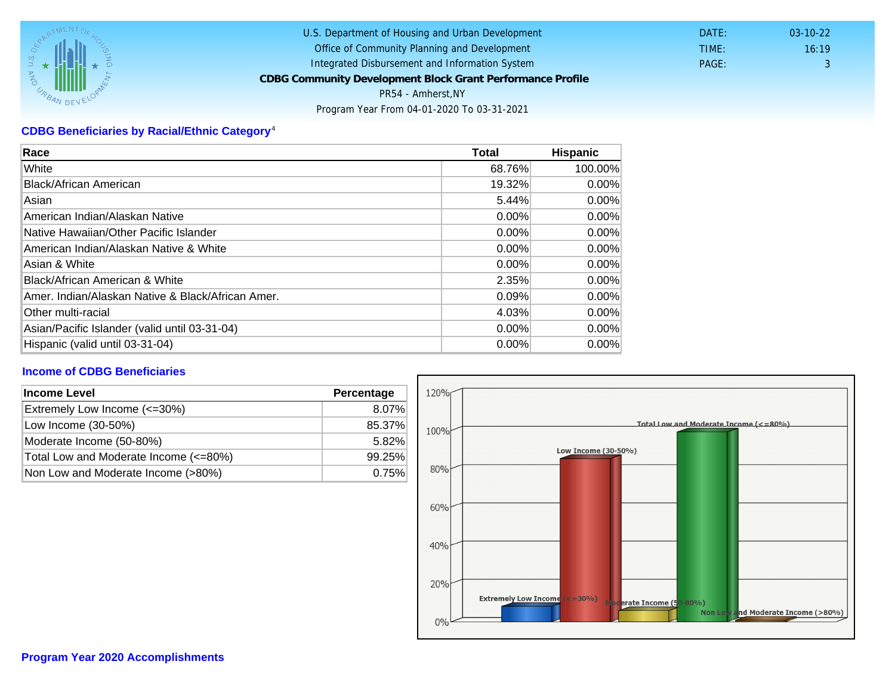# CDBG Beneficiaries by Racial/Ethnic Category <sup>4</sup>

| Race                                              | Total    | Hispanic |
|---------------------------------------------------|----------|----------|
| White                                             | 68.76%   | 100.00%  |
| Black/African American                            | 19.32%   | $0.00\%$ |
| Asian                                             | 5.44%    | $0.00\%$ |
| IAmerican Indian/Alaskan Native                   | 0.00%    | $0.00\%$ |
| lNative Hawaiian/Other Pacific Islander           | $0.00\%$ | $0.00\%$ |
| American Indian/Alaskan Native & White            | 0.00%    | $0.00\%$ |
| Asian & White                                     | 0.00%    | 0.00%    |
| Black/African American & White                    | 2.35%    | $0.00\%$ |
| Amer. Indian/Alaskan Native & Black/African Amer. | $0.09\%$ | $0.00\%$ |
| <b>Other multi-racial</b>                         | 4.03%    | 0.00%    |
| Asian/Pacific Islander (valid until 03-31-04)     | 0.00%    | 0.00%    |
| Hispanic (valid until 03-31-04)                   | 0.00%    | 0.00%    |

## Income of CDBG Beneficiaries

| Income Level                          | Percentage |  |
|---------------------------------------|------------|--|
| Extremely Low Income (<=30%)          | 8.07%      |  |
| Low Income (30-50%)                   | 85.37%     |  |
| Moderate Income (50-80%)              | 5.82%      |  |
| Total Low and Moderate Income (<=80%) | 99.25%     |  |
| Non Low and Moderate Income (>80%)    | 0.75%      |  |